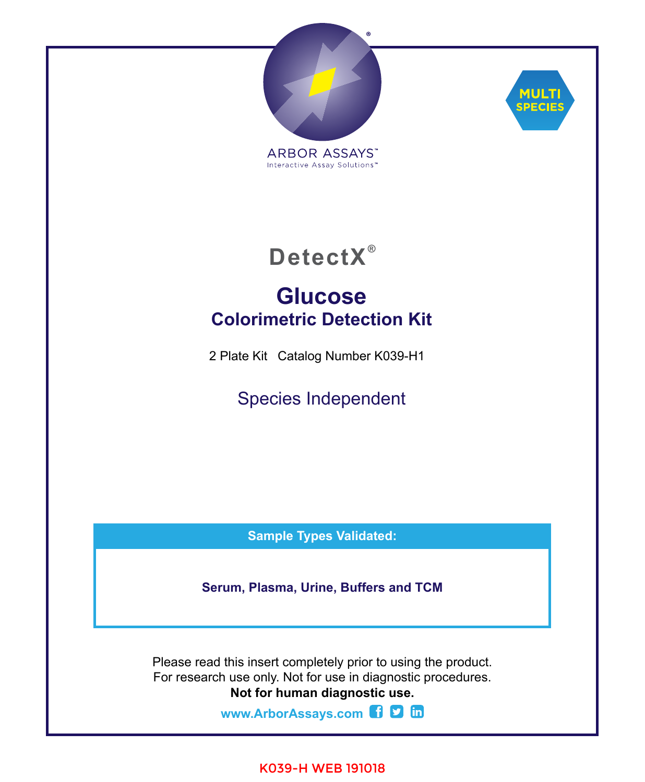



**DetectX ®**

# **Glucose Colorimetric Detection Kit**

2 Plate Kit Catalog Number K039-H1

Species Independent

**Sample Types Validated:**

**Serum, Plasma, Urine, Buffers and TCM**

Please read this insert completely prior to using the product. For research use only. Not for use in diagnostic procedures. **Not for human diagnostic use.**

**[www.ArborAssays.com](http://www.ArborAssays.com)** 

### K039-H WEB 191018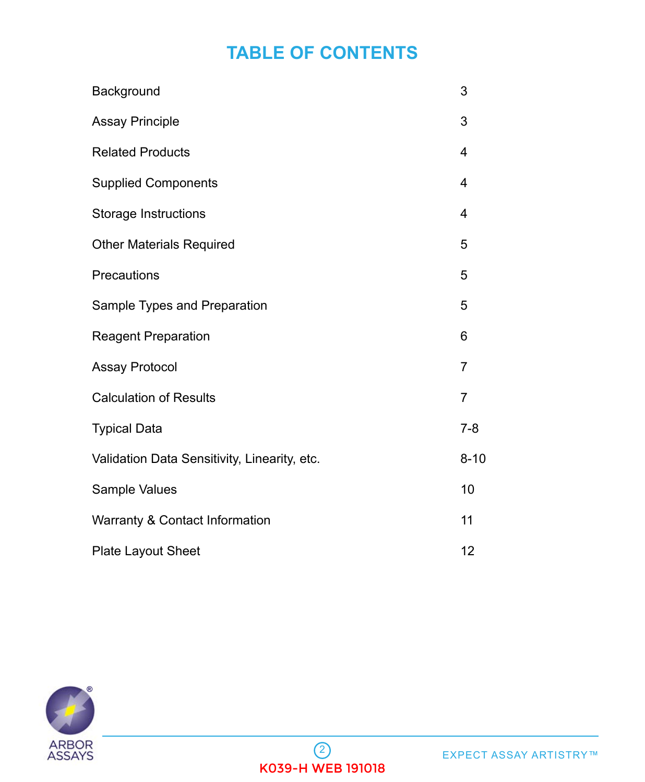# **TABLE OF CONTENTS**

| Background                                   | 3        |
|----------------------------------------------|----------|
| <b>Assay Principle</b>                       | 3        |
| <b>Related Products</b>                      | 4        |
| <b>Supplied Components</b>                   | 4        |
| Storage Instructions                         | 4        |
| <b>Other Materials Required</b>              | 5        |
| Precautions                                  | 5        |
| Sample Types and Preparation                 | 5        |
| <b>Reagent Preparation</b>                   | 6        |
| <b>Assay Protocol</b>                        | 7        |
| <b>Calculation of Results</b>                | 7        |
| <b>Typical Data</b>                          | $7 - 8$  |
| Validation Data Sensitivity, Linearity, etc. | $8 - 10$ |
| Sample Values                                | 10       |
| Warranty & Contact Information               | 11       |
| <b>Plate Layout Sheet</b>                    | 12       |

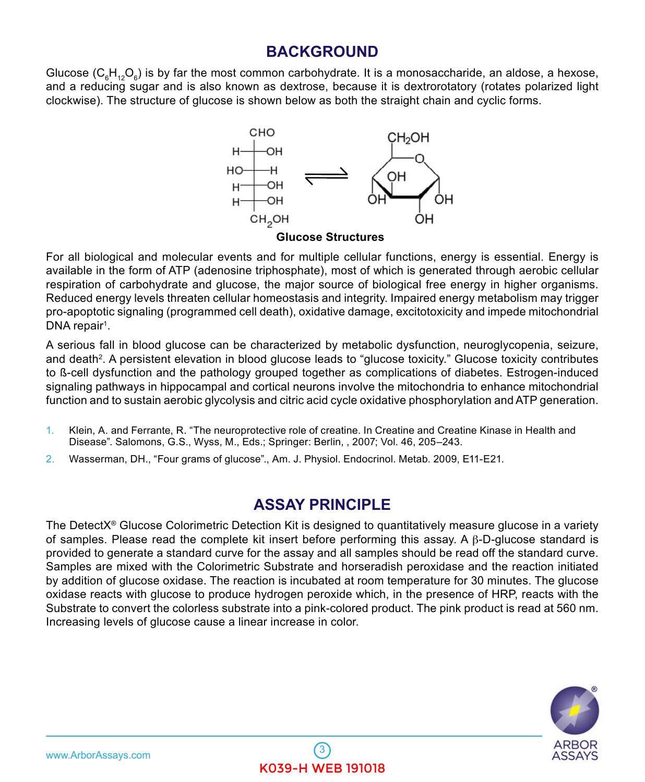## **BACKGROUND**

<span id="page-2-0"></span>Glucose ( $\mathsf{C}_6\mathsf{H}_{\cdot 2}\mathsf{O}_6$ ) is by far the most common carbohydrate. It is a monosaccharide, an aldose, a hexose, and a reducing sugar and is also known as dextrose, because it is dextrorotatory (rotates polarized light clockwise). The structure of glucose is shown below as both the straight chain and cyclic forms.



**Glucose Structures**

For all biological and molecular events and for multiple cellular functions, energy is essential. Energy is available in the form of ATP (adenosine triphosphate), most of which is generated through aerobic cellular respiration of carbohydrate and glucose, the major source of biological free energy in higher organisms. Reduced energy levels threaten cellular homeostasis and integrity. Impaired energy metabolism may trigger pro-apoptotic signaling (programmed cell death), oxidative damage, excitotoxicity and impede mitochondrial DNA repair<sup>1</sup>.

A serious fall in blood glucose can be characterized by metabolic dysfunction, neuroglycopenia, seizure, and death<sup>2</sup>. A persistent elevation in blood glucose leads to "glucose toxicity." Glucose toxicity contributes to ß-cell dysfunction and the pathology grouped together as complications of diabetes. Estrogen-induced signaling pathways in hippocampal and cortical neurons involve the mitochondria to enhance mitochondrial function and to sustain aerobic glycolysis and citric acid cycle oxidative phosphorylation and ATP generation.

- 1. Klein, A. and Ferrante, R. "The neuroprotective role of creatine. In Creatine and Creat[i](http://stke.sciencemag.org/cgi/content/abstract/sigtrans;2000/53/pe1)ne Kinase in Health and Disease". Salomons, G.S., Wyss, M., Eds.; Springer: Berlin, , 2007; Vol. 46, 205–243.
- 2. Wasserman, DH., "Four grams of glucose"., Am. J. Physiol. Endocrinol. Metab. 2009, E11-E21.

## **ASSAY PRINCIPLE**

The DetectX<sup>®</sup> Glucose Colorimetric Detection Kit is designed to quantitatively measure glucose in a variety of samples. Please read the complete kit insert before performing this assay. A β-D-glucose standard is provided to generate a standard curve for the assay and all samples should be read off the standard curve. Samples are mixed with the Colorimetric Substrate and horseradish peroxidase and the reaction initiated by addition of glucose oxidase. The reaction is incubated at room temperature for 30 minutes. The glucose oxidase reacts with glucose to produce hydrogen peroxide which, in the presence of HRP, reacts with the Substrate to convert the colorless substrate into a pink-colored product. The pink product is read at 560 nm. Increasing levels of glucose cause a linear increase in color.

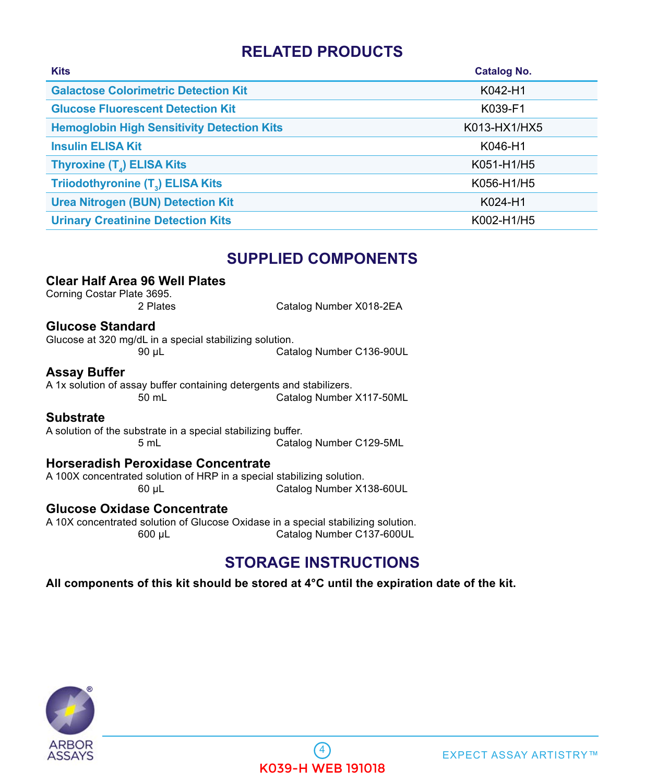## **RELATED PRODUCTS**

<span id="page-3-0"></span>

| <b>Kits</b>                                       | <b>Catalog No.</b> |
|---------------------------------------------------|--------------------|
| <b>Galactose Colorimetric Detection Kit</b>       | K042-H1            |
| <b>Glucose Fluorescent Detection Kit</b>          | K039-F1            |
| <b>Hemoglobin High Sensitivity Detection Kits</b> | K013-HX1/HX5       |
| <b>Insulin ELISA Kit</b>                          | K046-H1            |
| Thyroxine (T <sub>a</sub> ) ELISA Kits            | K051-H1/H5         |
| Triiodothyronine (T <sub>3</sub> ) ELISA Kits     | K056-H1/H5         |
| <b>Urea Nitrogen (BUN) Detection Kit</b>          | K024-H1            |
| <b>Urinary Creatinine Detection Kits</b>          | K002-H1/H5         |

### **SUPPLIED COMPONENTS**

#### **Clear Half Area 96 Well Plates**

Corning Costar Plate 3695.

Catalog Number X018-2EA

#### **Glucose Standard**

Glucose at 320 mg/dL in a special stabilizing solution. 90 µL Catalog Number C136-90UL

#### **Assay Buffer**

A 1x solution of assay buffer containing detergents and stabilizers. 50 mL Catalog Number X117-50ML

#### **Substrate**

A solution of the substrate in a special stabilizing buffer. Catalog Number C129-5ML

#### **Horseradish Peroxidase Concentrate**

A 100X concentrated solution of HRP in a special stabilizing solution. 60 µL Catalog Number X138-60UL

#### **Glucose Oxidase Concentrate**

A 10X concentrated solution of Glucose Oxidase in a special stabilizing solution. Catalog Number C137-600UL

### **STORAGE INSTRUCTIONS**

**All components of this kit should be stored at 4°C until the expiration date of the kit.** 

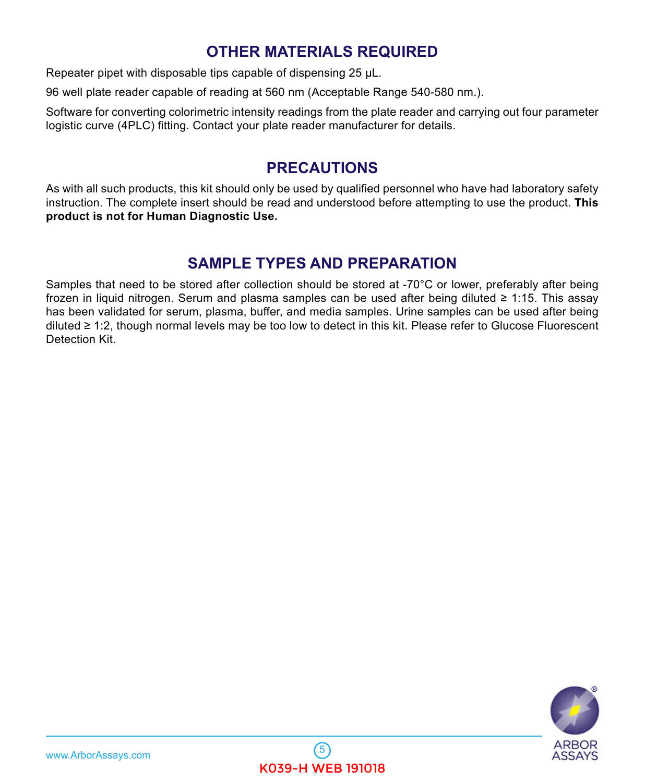## **OTHER MATERIALS REQUIRED**

<span id="page-4-0"></span>Repeater pipet with disposable tips capable of dispensing 25  $\mu$ L.

96 well plate reader capable of reading at 560 nm (Acceptable Range 540-580 nm.).

Software for converting colorimetric intensity readings from the plate reader and carrying out four parameter logistic curve (4PLC) fitting. Contact your plate reader manufacturer for details.

### **PRECAUTIONS**

As with all such products, this kit should only be used by qualified personnel who have had laboratory safety instruction. The complete insert should be read and understood before attempting to use the product. **This product is not for Human Diagnostic Use.**

## **SAMPLE TYPES AND PREPARATION**

Samples that need to be stored after collection should be stored at -70°C or lower, preferably after being frozen in liquid nitrogen. Serum and plasma samples can be used after being diluted ≥ 1:15. This assay has been validated for serum, plasma, buffer, and media samples. Urine samples can be used after being diluted ≥ 1:2, though normal levels may be too low to detect in this kit. Please refer to Glucose Fluorescent Detection Kit.

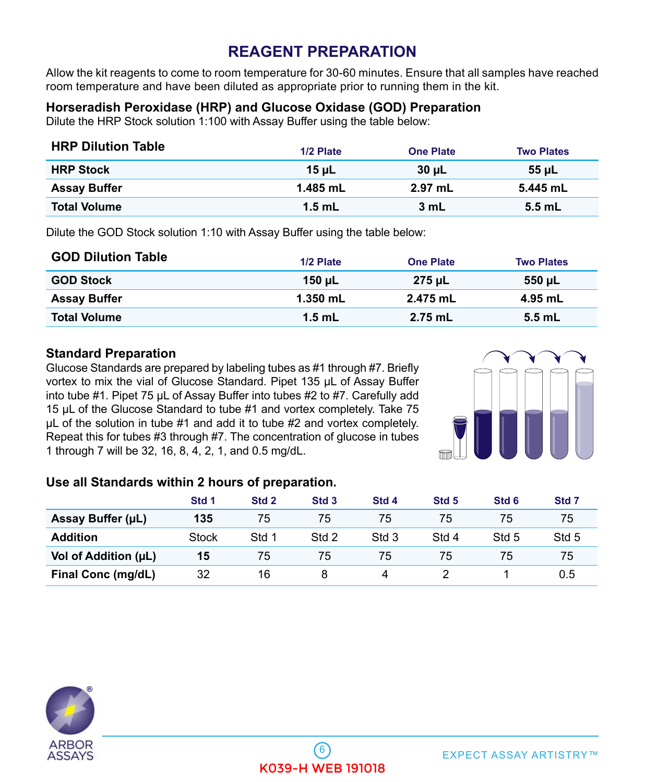## **REAGENT PREPARATION**

<span id="page-5-0"></span>Allow the kit reagents to come to room temperature for 30-60 minutes. Ensure that all samples have reached room temperature and have been diluted as appropriate prior to running them in the kit.

### **Horseradish Peroxidase (HRP) and Glucose Oxidase (GOD) Preparation**

Dilute the HRP Stock solution 1:100 with Assay Buffer using the table below:

| <b>HRP Dilution Table</b> | 1/2 Plate  | <b>One Plate</b> | <b>Two Plates</b> |
|---------------------------|------------|------------------|-------------------|
| <b>HRP Stock</b>          | $15$ uL    | 30 µL            | <b>55 uL</b>      |
| <b>Assay Buffer</b>       | $1.485$ mL | $2.97$ mL        | 5.445 mL          |
| <b>Total Volume</b>       | $1.5$ mL   | 3 mL             | $5.5$ mL          |

Dilute the GOD Stock solution 1:10 with Assay Buffer using the table below:

| <b>GOD Dilution Table</b> | 1/2 Plate  | <b>One Plate</b> | <b>Two Plates</b> |
|---------------------------|------------|------------------|-------------------|
| <b>GOD Stock</b>          | 150 uL     | 275 uL           | 550 uL            |
| <b>Assay Buffer</b>       | $1.350$ mL | 2.475 mL         | 4.95 mL           |
| <b>Total Volume</b>       | $1.5$ mL   | 2.75 mL          | $5.5$ mL          |

#### **Standard Preparation**

Glucose Standards are prepared by labeling tubes as #1 through #7. Briefly vortex to mix the vial of Glucose Standard. Pipet 135 µL of Assay Buffer into tube #1. Pipet 75 µL of Assay Buffer into tubes #2 to #7. Carefully add 15 µL of the Glucose Standard to tube #1 and vortex completely. Take 75 µL of the solution in tube #1 and add it to tube #2 and vortex completely. Repeat this for tubes #3 through #7. The concentration of glucose in tubes 1 through 7 will be 32, 16, 8, 4, 2, 1, and 0.5 mg/dL.



#### **Use all Standards within 2 hours of preparation.**

|                      | Std 1 | Std 2 | Std <sub>3</sub> | Std <sub>4</sub> | Std <sub>5</sub> | Std <sub>6</sub> | Std 7 |
|----------------------|-------|-------|------------------|------------------|------------------|------------------|-------|
| Assay Buffer (µL)    | 135   | 75    | 75               | 75               | 75               | 75               | 75    |
| <b>Addition</b>      | Stock | Std 1 | Std 2            | Std 3            | Std 4            | Std 5            | Std 5 |
| Vol of Addition (µL) | 15    | 75    | 75               | 75               | 75               | 75               | 75    |
| Final Conc (mg/dL)   | 32    | 16    |                  | Δ                |                  |                  | 0.5   |

 $6$ 

K039-H WEB 191018

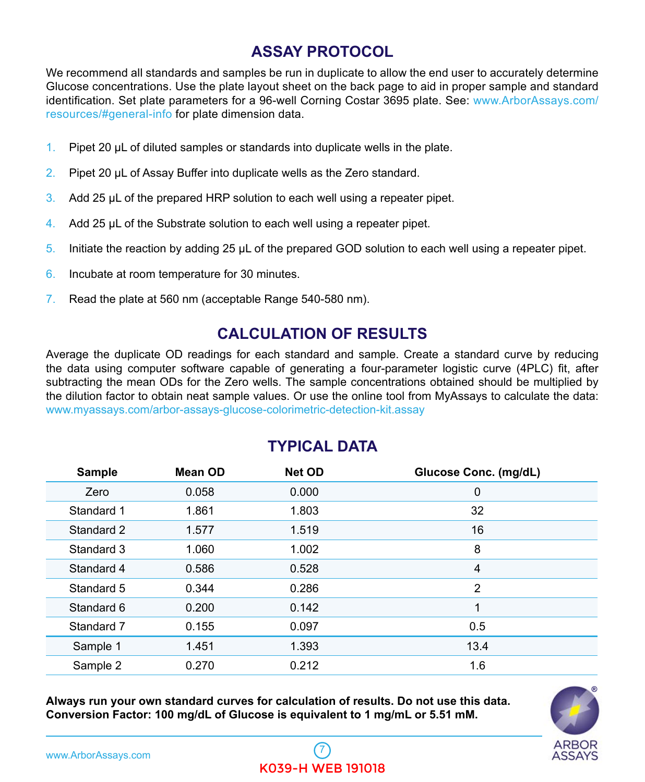## **ASSAY PROTOCOL**

<span id="page-6-0"></span>We recommend all standards and samples be run in duplicate to allow the end user to accurately determine Glucose concentrations. Use the plate layout sheet on the back page to aid in proper sample and standard identification. Set plate parameters for a 96-well Corning Costar 3695 plate. See: www.ArborAssays.com/ resources/#general-info for plate dimension data.

- 1. Pipet 20 µL of diluted samples or standards into duplicate wells in the plate.
- 2. Pipet 20 µL of Assay Buffer into duplicate wells as the Zero standard.
- 3. Add 25 µL of the prepared HRP solution to each well using a repeater pipet.
- 4. Add 25 µL of the Substrate solution to each well using a repeater pipet.
- 5. Initiate the reaction by adding 25  $\mu$ L of the prepared GOD solution to each well using a repeater pipet.
- 6. Incubate at room temperature for 30 minutes.
- 7. Read the plate at 560 nm (acceptable Range 540-580 nm).

## **CALCULATION OF RESULTS**

Average the duplicate OD readings for each standard and sample. Create a standard curve by reducing the data using computer software capable of generating a four-parameter logistic curve (4PLC) fit, after subtracting the mean ODs for the Zero wells. The sample concentrations obtained should be multiplied by the dilution factor to obtain neat sample values. Or use the online tool from MyAssays to calculate the data: <www.myassays.com/arbor-assays-glucose-colorimetric-detection-kit.assay>

| <b>Sample</b> | Mean OD | <b>Net OD</b> | Glucose Conc. (mg/dL) |
|---------------|---------|---------------|-----------------------|
| Zero          | 0.058   | 0.000         | 0                     |
| Standard 1    | 1.861   | 1.803         | 32                    |
| Standard 2    | 1.577   | 1.519         | 16                    |
| Standard 3    | 1.060   | 1.002         | 8                     |
| Standard 4    | 0.586   | 0.528         | 4                     |
| Standard 5    | 0.344   | 0.286         | 2                     |
| Standard 6    | 0.200   | 0.142         | 1                     |
| Standard 7    | 0.155   | 0.097         | 0.5                   |
| Sample 1      | 1.451   | 1.393         | 13.4                  |
| Sample 2      | 0.270   | 0.212         | 1.6                   |

### **TYPICAL DATA**

**Always run your own standard curves for calculation of results. Do not use this data. Conversion Factor: 100 mg/dL of Glucose is equivalent to 1 mg/mL or 5.51 mM.**

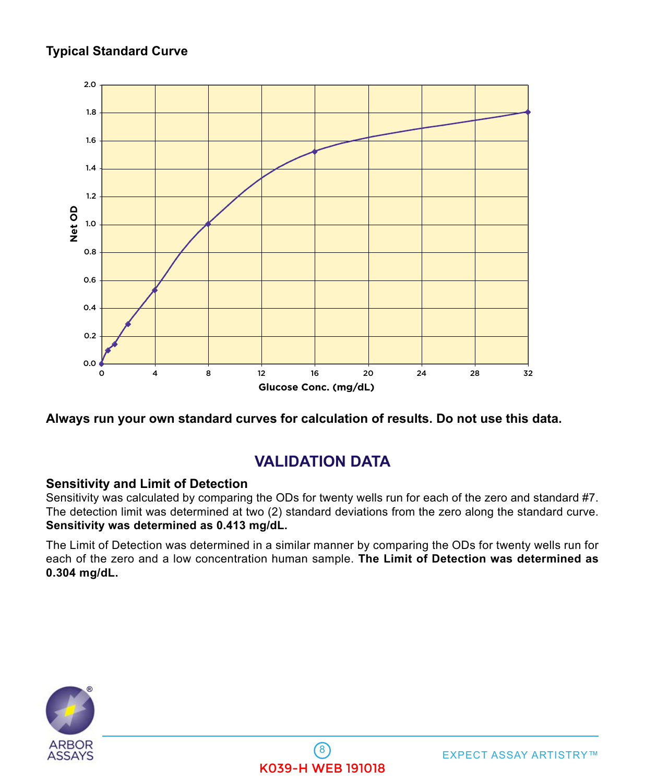### <span id="page-7-0"></span>**Typical Standard Curve**



**Always run your own standard curves for calculation of results. Do not use this data.**

## **VALIDATION DATA**

#### **Sensitivity and Limit of Detection**

Sensitivity was calculated by comparing the ODs for twenty wells run for each of the zero and standard #7. The detection limit was determined at two (2) standard deviations from the zero along the standard curve. **Sensitivity was determined as 0.413 mg/dL.** 

The Limit of Detection was determined in a similar manner by comparing the ODs for twenty wells run for each of the zero and a low concentration human sample. **The Limit of Detection was determined as 0.304 mg/dL.** 

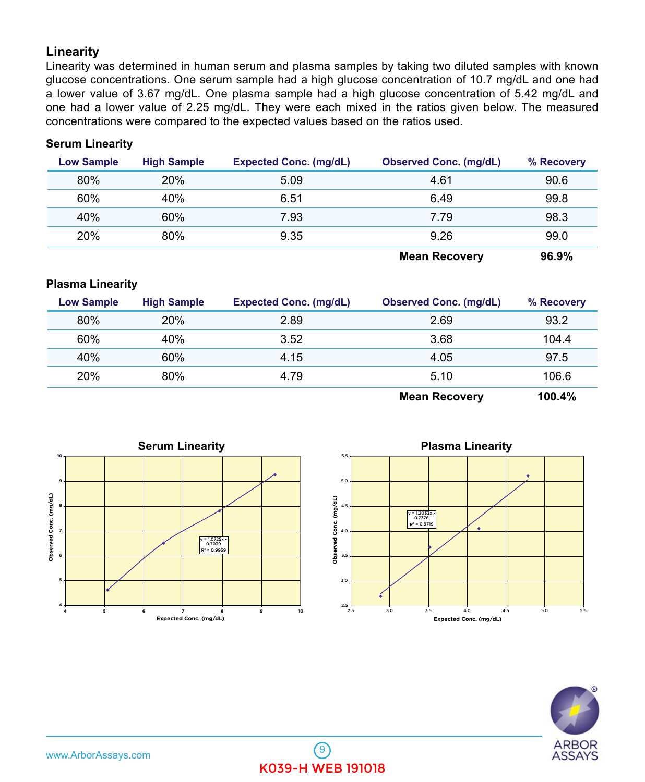#### **Linearity**

Linearity was determined in human serum and plasma samples by taking two diluted samples with known glucose concentrations. One serum sample had a high glucose concentration of 10.7 mg/dL and one had a lower value of 3.67 mg/dL. One plasma sample had a high glucose concentration of 5.42 mg/dL and one had a lower value of 2.25 mg/dL. They were each mixed in the ratios given below. The measured concentrations were compared to the expected values based on the ratios used.

#### **Serum Linearity**

| <b>Low Sample</b> | <b>High Sample</b> | <b>Expected Conc. (mg/dL)</b> | <b>Observed Conc. (mg/dL)</b> | % Recovery           |
|-------------------|--------------------|-------------------------------|-------------------------------|----------------------|
| 80%               | <b>20%</b>         | 5.09                          | 4.61                          | 90.6                 |
| 60%               | 40%                | 6.51                          | 6.49                          | 99.8                 |
| 40%               | 60%                | 7.93                          | 7.79                          | 98.3                 |
| <b>20%</b>        | 80%                | 9.35                          | 9.26                          | 99.0                 |
|                   |                    |                               | $M = 100$ M $= 100$ M $= 100$ | $\sim$ $\sim$ $\sim$ |

**Mean Recovery 96.9%**

#### **Plasma Linearity**

| <b>Low Sample</b> | <b>High Sample</b> | <b>Expected Conc. (mg/dL)</b> | <b>Observed Conc. (mg/dL)</b> | % Recovery |
|-------------------|--------------------|-------------------------------|-------------------------------|------------|
| 80%               | <b>20%</b>         | 2.89                          | 2.69                          | 93.2       |
| 60%               | 40%                | 3.52                          | 3.68                          | 104.4      |
| 40%               | 60%                | 4.15                          | 4.05                          | 97.5       |
| <b>20%</b>        | 80%                | 4.79                          | 5.10                          | 106.6      |
|                   |                    |                               |                               |            |

**Mean Recovery 100.4%**





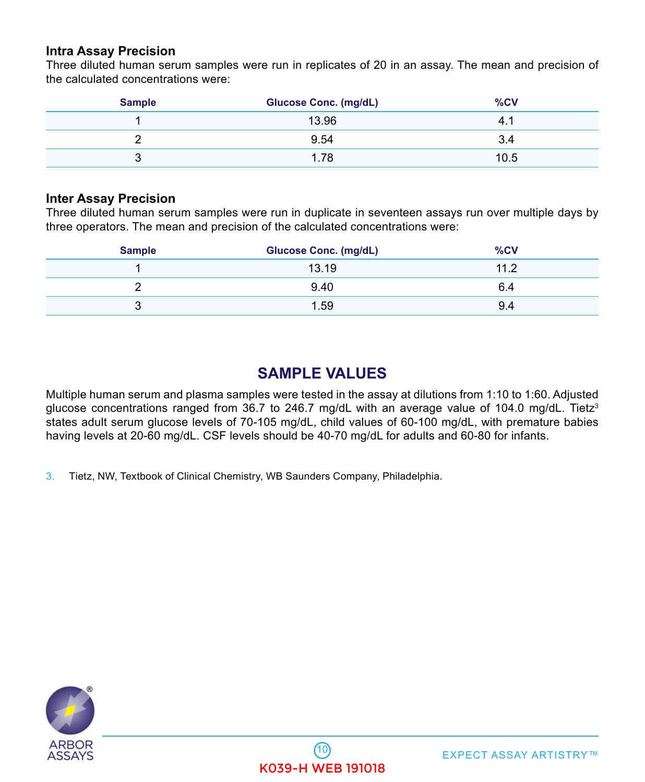#### <span id="page-9-0"></span>**Intra Assay Precision**

Three diluted human serum samples were run in replicates of 20 in an assay. The mean and precision of the calculated concentrations were:

| <b>Sample</b> | <b>Glucose Conc. (mg/dL)</b> | %CV  |
|---------------|------------------------------|------|
|               | 13.96                        | 4.7  |
|               | 9.54                         | 3.4  |
| ບ             | 1.78                         | 10.5 |

#### **Inter Assay Precision**

Three diluted human serum samples were run in duplicate in seventeen assays run over multiple days by three operators. The mean and precision of the calculated concentrations were:

| <b>Sample</b> | <b>Glucose Conc. (mg/dL)</b> | %CV  |
|---------------|------------------------------|------|
|               | 13.19                        | 11.2 |
|               | 9.40                         | 6.4  |
| ື             | 1.59                         | 9.4  |

## **SAMPLE VALUES**

Multiple human serum and plasma samples were tested in the assay at dilutions from 1:10 to 1:60. Adjusted glucose concentrations ranged from 36.7 to 246.7 mg/dL with an average value of 104.0 mg/dL. Tietz<sup>3</sup> states adult serum glucose levels of 70-105 mg/dL, child values of 60-100 mg/dL, with premature babies having levels at 20-60 mg/dL. CSF levels should be 40-70 mg/dL for adults and 60-80 for infants.

3. Tietz, NW, Textbook of Clinical Chemistry, WB Saunders Company, Philadelphia.

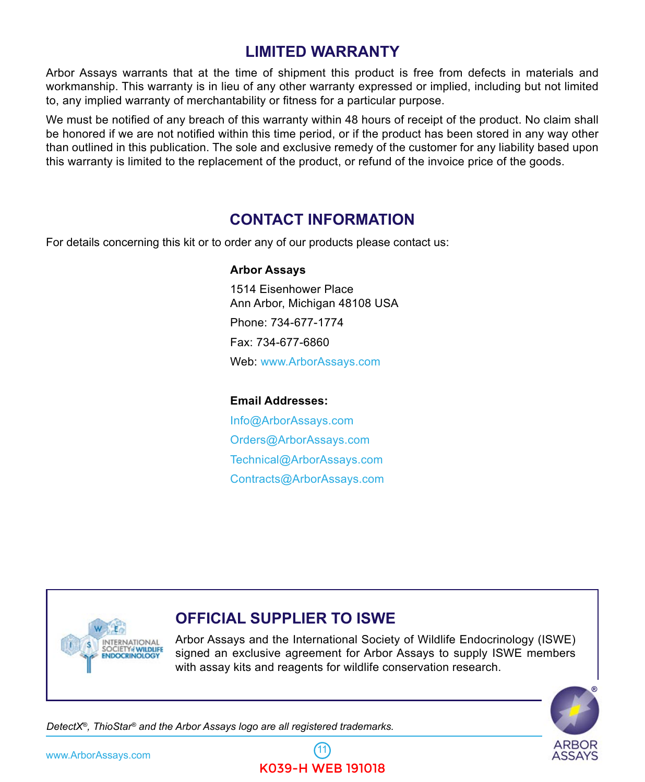## **LIMITED WARRANTY**

<span id="page-10-0"></span>Arbor Assays warrants that at the time of shipment this product is free from defects in materials and workmanship. This warranty is in lieu of any other warranty expressed or implied, including but not limited to, any implied warranty of merchantability or fitness for a particular purpose.

We must be notified of any breach of this warranty within 48 hours of receipt of the product. No claim shall be honored if we are not notified within this time period, or if the product has been stored in any way other than outlined in this publication. The sole and exclusive remedy of the customer for any liability based upon this warranty is limited to the replacement of the product, or refund of the invoice price of the goods.

### **CONTACT INFORMATION**

For details concerning this kit or to order any of our products please contact us:

#### **Arbor Assays**

 1514 Eisenhower Place Ann Arbor, Michigan 48108 USA Phone: 734-677-1774 Fax: 734-677-6860 Web: [www.ArborAssays.com](http://www.ArborAssays.com)

#### **Email Addresses:**

 [Info@ArborAssays.com](mailto: info@ArborAssays.com) [Orders@ArborAssays.com](mailto: orders@ArborAssays.com) [Technical@ArborAssays.com](mailto: technical@ArborAssays.com) [Contracts](mailto: contracts@ArborAssays.com)@ArborAssays.com



### **OFFICIAL SUPPLIER TO ISWE**

Arbor Assays and the International Society of Wildlife Endocrinology (ISWE) signed an exclusive agreement for Arbor Assays to supply ISWE members with assay kits and reagents for wildlife conservation research.



*DetectX®, ThioStar® and the Arbor Assays logo are all registered trademarks.*